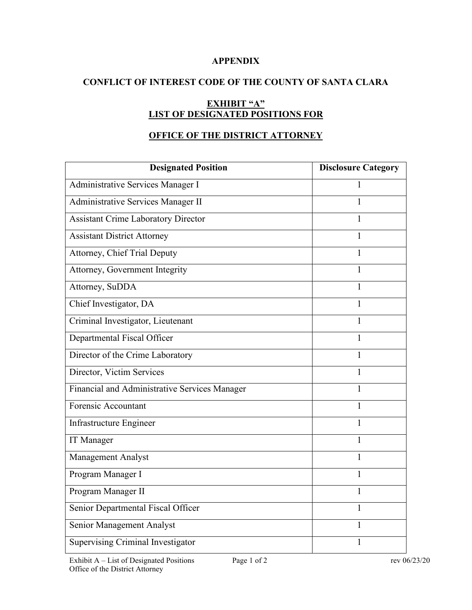### **APPENDIX**

## **CONFLICT OF INTEREST CODE OF THE COUNTY OF SANTA CLARA**

# **EXHIBIT "A" LIST OF DESIGNATED POSITIONS FOR**

## **OFFICE OF THE DISTRICT ATTORNEY**

| <b>Designated Position</b>                    | <b>Disclosure Category</b> |
|-----------------------------------------------|----------------------------|
| Administrative Services Manager I             | 1                          |
| Administrative Services Manager II            | 1                          |
| <b>Assistant Crime Laboratory Director</b>    | 1                          |
| <b>Assistant District Attorney</b>            | 1                          |
| <b>Attorney, Chief Trial Deputy</b>           | 1                          |
| Attorney, Government Integrity                | $\mathbf{1}$               |
| Attorney, SuDDA                               | 1                          |
| Chief Investigator, DA                        | 1                          |
| Criminal Investigator, Lieutenant             | 1                          |
| Departmental Fiscal Officer                   | $\mathbf{1}$               |
| Director of the Crime Laboratory              | 1                          |
| Director, Victim Services                     | 1                          |
| Financial and Administrative Services Manager | 1                          |
| Forensic Accountant                           | $\mathbf{1}$               |
| Infrastructure Engineer                       | 1                          |
| IT Manager                                    | 1                          |
| Management Analyst                            | 1                          |
| Program Manager I                             | 1                          |
| Program Manager II                            | 1                          |
| Senior Departmental Fiscal Officer            | 1                          |
| Senior Management Analyst                     | 1                          |
| Supervising Criminal Investigator             | 1                          |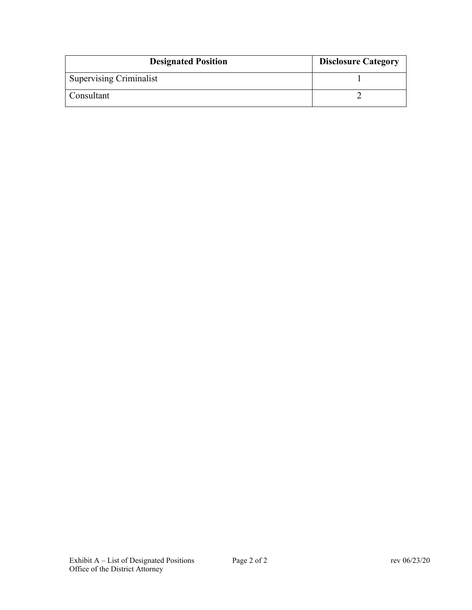| <b>Designated Position</b>     | <b>Disclosure Category</b> |
|--------------------------------|----------------------------|
| <b>Supervising Criminalist</b> |                            |
| Consultant                     |                            |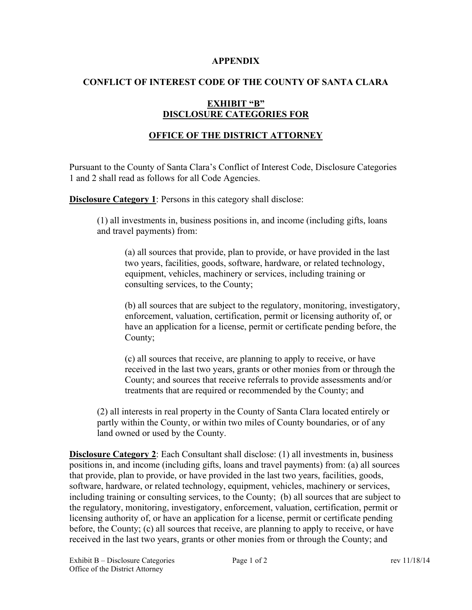#### **APPENDIX**

### **CONFLICT OF INTEREST CODE OF THE COUNTY OF SANTA CLARA**

### **EXHIBIT "B" DISCLOSURE CATEGORIES FOR**

## **OFFICE OF THE DISTRICT ATTORNEY**

Pursuant to the County of Santa Clara's Conflict of Interest Code, Disclosure Categories 1 and 2 shall read as follows for all Code Agencies.

**Disclosure Category 1:** Persons in this category shall disclose:

(1) all investments in, business positions in, and income (including gifts, loans and travel payments) from:

(a) all sources that provide, plan to provide, or have provided in the last two years, facilities, goods, software, hardware, or related technology, equipment, vehicles, machinery or services, including training or consulting services, to the County;

(b) all sources that are subject to the regulatory, monitoring, investigatory, enforcement, valuation, certification, permit or licensing authority of, or have an application for a license, permit or certificate pending before, the County;

(c) all sources that receive, are planning to apply to receive, or have received in the last two years, grants or other monies from or through the County; and sources that receive referrals to provide assessments and/or treatments that are required or recommended by the County; and

(2) all interests in real property in the County of Santa Clara located entirely or partly within the County, or within two miles of County boundaries, or of any land owned or used by the County.

**Disclosure Category 2**: Each Consultant shall disclose: (1) all investments in, business positions in, and income (including gifts, loans and travel payments) from: (a) all sources that provide, plan to provide, or have provided in the last two years, facilities, goods, software, hardware, or related technology, equipment, vehicles, machinery or services, including training or consulting services, to the County; (b) all sources that are subject to the regulatory, monitoring, investigatory, enforcement, valuation, certification, permit or licensing authority of, or have an application for a license, permit or certificate pending before, the County; (c) all sources that receive, are planning to apply to receive, or have received in the last two years, grants or other monies from or through the County; and